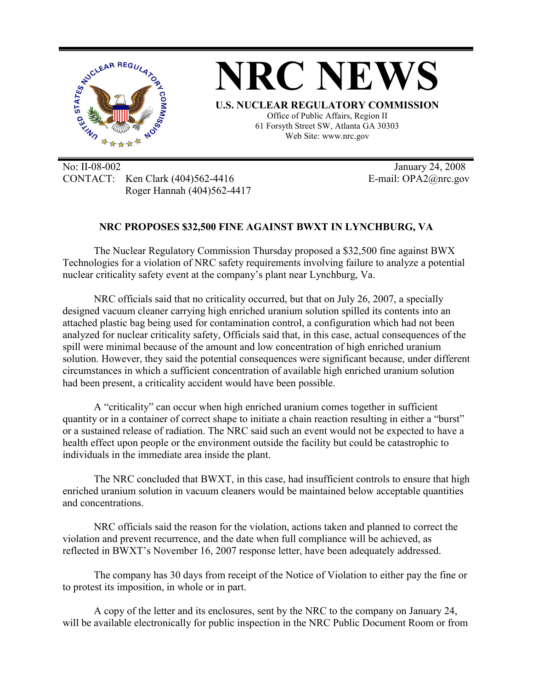

No: II-08-002 January 24, 2008 CONTACT: Ken Clark (404)562-4416 E-mail: OPA2@nrc.gov Roger Hannah (404)562-4417

## **NRC PROPOSES \$32,500 FINE AGAINST BWXT IN LYNCHBURG, VA**

The Nuclear Regulatory Commission Thursday proposed a \$32,500 fine against BWX Technologies for a violation of NRC safety requirements involving failure to analyze a potential nuclear criticality safety event at the company's plant near Lynchburg, Va.

 NRC officials said that no criticality occurred, but that on July 26, 2007, a specially designed vacuum cleaner carrying high enriched uranium solution spilled its contents into an attached plastic bag being used for contamination control, a configuration which had not been analyzed for nuclear criticality safety, Officials said that, in this case, actual consequences of the spill were minimal because of the amount and low concentration of high enriched uranium solution. However, they said the potential consequences were significant because, under different circumstances in which a sufficient concentration of available high enriched uranium solution had been present, a criticality accident would have been possible.

 A "criticality" can occur when high enriched uranium comes together in sufficient quantity or in a container of correct shape to initiate a chain reaction resulting in either a "burst" or a sustained release of radiation. The NRC said such an event would not be expected to have a health effect upon people or the environment outside the facility but could be catastrophic to individuals in the immediate area inside the plant.

 The NRC concluded that BWXT, in this case, had insufficient controls to ensure that high enriched uranium solution in vacuum cleaners would be maintained below acceptable quantities and concentrations.

 NRC officials said the reason for the violation, actions taken and planned to correct the violation and prevent recurrence, and the date when full compliance will be achieved, as reflected in BWXT's November 16, 2007 response letter, have been adequately addressed.

 The company has 30 days from receipt of the Notice of Violation to either pay the fine or to protest its imposition, in whole or in part.

 A copy of the letter and its enclosures, sent by the NRC to the company on January 24, will be available electronically for public inspection in the NRC Public Document Room or from